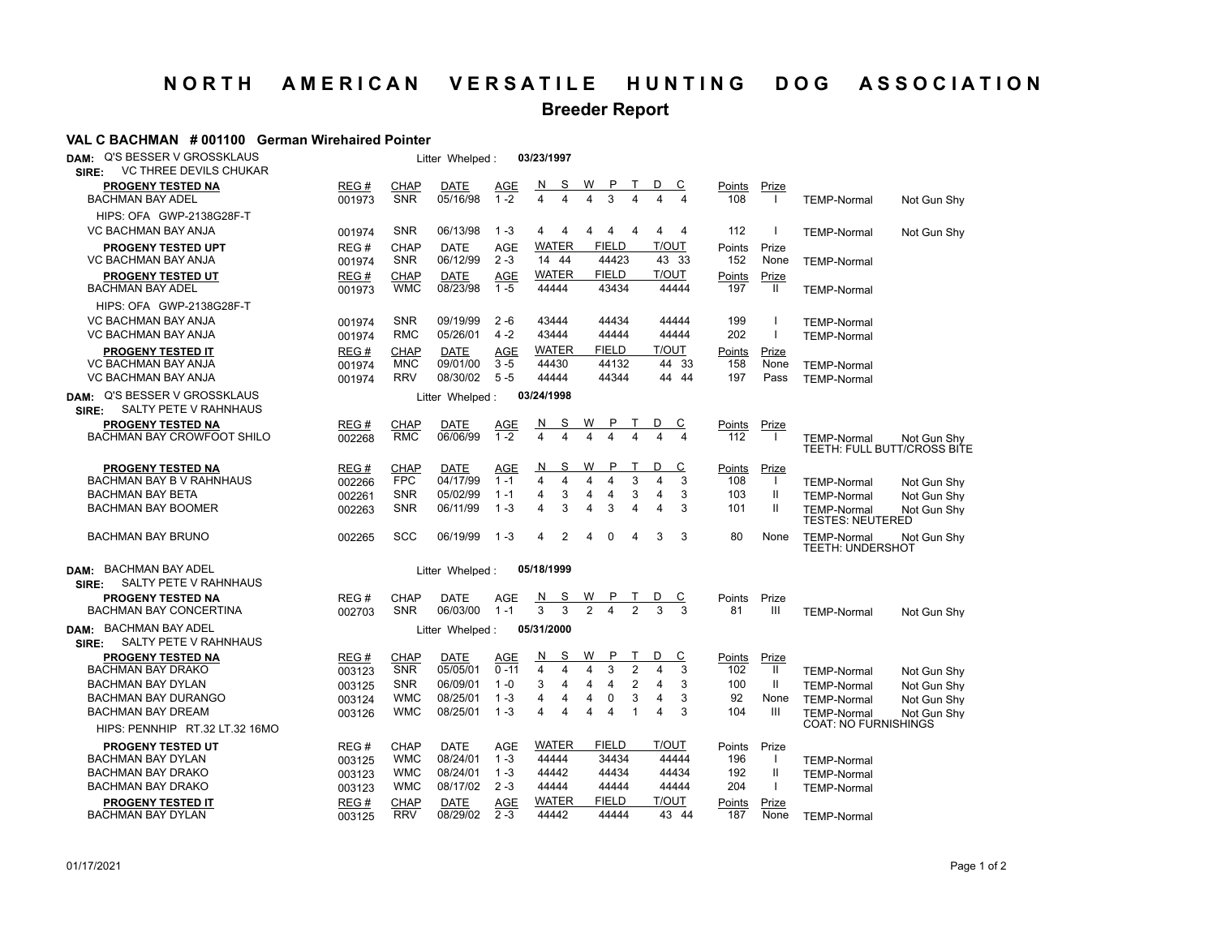## **NORTH AMERICAN VERSATILE HUNTING DOG ASSOCIATION**

## **Breeder Report**

## **VAL C BACHMAN # 001100 German Wirehaired Pointer**

| <b>Q'S BESSER V GROSSKLAUS</b><br>DAM:<br><b>VC THREE DEVILS CHUKAR</b><br>SIRE: |                |                           | Litter Whelped:         |                       | 03/23/1997                                                  |                                       |                          |                      |                         |                                                   |                                            |
|----------------------------------------------------------------------------------|----------------|---------------------------|-------------------------|-----------------------|-------------------------------------------------------------|---------------------------------------|--------------------------|----------------------|-------------------------|---------------------------------------------------|--------------------------------------------|
| <b>PROGENY TESTED NA</b><br><b>BACHMAN BAY ADEL</b>                              | REG#<br>001973 | <b>CHAP</b><br><b>SNR</b> | DATE<br>05/16/98        | <u>AGE</u><br>$1 - 2$ | <u>s</u><br>$\mathbf N$<br>$\overline{4}$<br>$\overline{4}$ | W<br>3<br>$\overline{\mathbf{4}}$     | D<br>$\overline{c}$<br>4 | <u>Points</u><br>108 | <u>Prize</u><br>$\perp$ | <b>TEMP-Normal</b>                                | Not Gun Shy                                |
| HIPS: OFA GWP-2138G28F-T                                                         |                |                           |                         |                       |                                                             |                                       |                          |                      |                         |                                                   |                                            |
| VC BACHMAN BAY ANJA                                                              | 001974         | <b>SNR</b>                | 06/13/98                | $1 - 3$               | 4<br>4                                                      | 4<br>$\overline{4}$<br>4              | 4<br>4                   | 112                  | $\mathbf{I}$            | <b>TEMP-Normal</b>                                | Not Gun Shy                                |
| <b>PROGENY TESTED UPT</b><br><b>VC BACHMAN BAY ANJA</b>                          | REG#<br>001974 | <b>CHAP</b><br><b>SNR</b> | <b>DATE</b><br>06/12/99 | AGE<br>$2 - 3$        | <b>WATER</b><br>14 44                                       | <b>FIELD</b><br>44423                 | T/OUT<br>43 33           | Points<br>152        | Prize<br>None           | <b>TEMP-Normal</b>                                |                                            |
| <b>PROGENY TESTED UT</b><br><b>BACHMAN BAY ADEL</b>                              | REG#<br>001973 | <b>CHAP</b><br><b>WMC</b> | <b>DATE</b><br>08/23/98 | <b>AGE</b><br>$1 - 5$ | WATER<br>44444                                              | <b>FIELD</b><br>43434                 | <b>T/OUT</b><br>44444    | <b>Points</b><br>197 | Prize<br>$\mathbf{H}$   | <b>TEMP-Normal</b>                                |                                            |
| HIPS: OFA GWP-2138G28F-T                                                         |                |                           |                         |                       |                                                             |                                       |                          |                      |                         |                                                   |                                            |
| VC BACHMAN BAY ANJA                                                              | 001974         | <b>SNR</b>                | 09/19/99                | $2 - 6$               | 43444                                                       | 44434                                 | 44444                    | 199                  | $\mathbf{I}$            | <b>TEMP-Normal</b>                                |                                            |
| VC BACHMAN BAY ANJA                                                              | 001974         | RMC                       | 05/26/01                | $4 - 2$               | 43444                                                       | 44444                                 | 44444                    | 202                  | $\overline{1}$          | <b>TEMP-Normal</b>                                |                                            |
| <b>PROGENY TESTED IT</b>                                                         | REG#           | <b>CHAP</b>               | <b>DATE</b>             | AGE                   | WATER                                                       | <b>FIELD</b>                          | T/OUT                    | Points               | Prize                   |                                                   |                                            |
| VC BACHMAN BAY ANJA                                                              | 001974         | <b>MNC</b>                | 09/01/00                | $3 - 5$               | 44430                                                       | 44132                                 | 44 33                    | 158                  | None                    | <b>TEMP-Normal</b>                                |                                            |
| VC BACHMAN BAY ANJA                                                              | 001974         | <b>RRV</b>                | 08/30/02                | $5 - 5$               | 44444                                                       | 44344                                 | 44 44                    | 197                  | Pass                    | <b>TEMP-Normal</b>                                |                                            |
| DAM: Q'S BESSER V GROSSKLAUS<br>SALTY PETE V RAHNHAUS<br>SIRE:                   |                |                           | Litter Whelped:         |                       | 03/24/1998                                                  |                                       |                          |                      |                         |                                                   |                                            |
| PROGENY TESTED NA                                                                | REG#           | <b>CHAP</b>               | DATE                    | AGE                   | <u>_N</u><br><u>s</u>                                       | W                                     | <u>୍</u>                 | Points               | Prize                   |                                                   |                                            |
| BACHMAN BAY CROWFOOT SHILO                                                       | 002268         | <b>RMC</b>                | 06/06/99                | $1 - 2$               | $\overline{4}$<br>$\overline{4}$                            | $\overline{4}$<br>$\overline{4}$<br>4 | 4<br>$\overline{4}$      | 112                  | $\perp$                 | <b>TEMP-Normal</b>                                | Not Gun Shv<br>TEETH: FULL BUTT/CROSS BITE |
| PROGENY TESTED NA                                                                | REG#           | <b>CHAP</b>               | <b>DATE</b>             | AGE                   | S<br>N                                                      | w                                     | D<br>C                   | Points               | Prize                   |                                                   |                                            |
| BACHMAN BAY B V RAHNHAUS                                                         | 002266         | <b>FPC</b>                | 04/17/99                | $1 - 1$               | $\overline{4}$<br>4                                         | 3<br>$\overline{4}$<br>4              | 3<br>$\Delta$            | 108                  | $\perp$                 | <b>TEMP-Normal</b>                                | Not Gun Shy                                |
| <b>BACHMAN BAY BETA</b>                                                          | 002261         | <b>SNR</b>                | 05/02/99                | $1 - 1$               | 4<br>3                                                      | 4<br>3<br>4                           | 3<br>4                   | 103                  | Ш                       | <b>TEMP-Normal</b>                                | Not Gun Shy                                |
| <b>BACHMAN BAY BOOMER</b>                                                        | 002263         | <b>SNR</b>                | 06/11/99                | $1 - 3$               | 3<br>4                                                      | 3<br>4<br>$\overline{4}$              | 3<br>4                   | 101                  | $\mathbf{H}$            | <b>TEMP-Normal</b><br><b>TESTES: NEUTERED</b>     | Not Gun Shy                                |
| <b>BACHMAN BAY BRUNO</b>                                                         | 002265         | <b>SCC</b>                | 06/19/99                | $1 - 3$               | 2<br>4                                                      | $\mathbf 0$<br>4<br>4                 | 3<br>3                   | 80                   | None                    | <b>TEMP-Normal</b><br><b>TEETH: UNDERSHOT</b>     | Not Gun Shy                                |
| <b>BACHMAN BAY ADEL</b><br>DAM:<br>SALTY PETE V RAHNHAUS<br>SIRE:                |                |                           | Litter Whelped:         |                       | 05/18/1999                                                  |                                       |                          |                      |                         |                                                   |                                            |
| <b>PROGENY TESTED NA</b>                                                         | REG#           | <b>CHAP</b>               | DATE                    | AGE                   | N<br><u>s</u>                                               |                                       | <u>c</u>                 | Points               | Prize                   |                                                   |                                            |
| <b>BACHMAN BAY CONCERTINA</b>                                                    | 002703         | <b>SNR</b>                | 06/03/00                | $1 - 1$               | $\overline{3}$<br>3                                         | $\frac{W}{2}$                         | 3                        | 81                   | Ш                       | <b>TEMP-Normal</b>                                | Not Gun Shy                                |
| DAM: BACHMAN BAY ADEL<br>SALTY PETE V RAHNHAUS<br>SIRE:                          |                |                           | Litter Whelped:         |                       | 05/31/2000                                                  |                                       |                          |                      |                         |                                                   |                                            |
| <b>PROGENY TESTED NA</b>                                                         | REG#           | <b>CHAP</b>               | <b>DATE</b>             | <b>AGE</b>            | N<br>S                                                      | W<br>P<br>т                           | D<br><u>c</u>            | <b>Points</b>        | Prize                   |                                                   |                                            |
| <b>BACHMAN BAY DRAKO</b>                                                         | 003123         | <b>SNR</b>                | 05/05/01                | $0 - 11$              | $\overline{4}$<br>$\overline{4}$                            | 3<br>$\overline{2}$<br>4              | 4<br>3                   | 102                  | $\mathbf{H}$            | <b>TEMP-Normal</b>                                | Not Gun Shy                                |
| <b>BACHMAN BAY DYLAN</b>                                                         | 003125         | <b>SNR</b>                | 06/09/01                | $1 - 0$               | 3<br>4                                                      | 2<br>4<br>4                           | 3<br>4                   | 100                  | Ш                       | <b>TEMP-Normal</b>                                | Not Gun Shy                                |
| <b>BACHMAN BAY DURANGO</b>                                                       | 003124         | <b>WMC</b>                | 08/25/01                | $1 - 3$               | $\overline{4}$<br>$\overline{4}$                            | 3<br>4<br>$\mathbf 0$                 | 3<br>4                   | 92                   | None                    | <b>TEMP-Normal</b>                                | Not Gun Shy                                |
| <b>BACHMAN BAY DREAM</b>                                                         | 003126         | <b>WMC</b>                | 08/25/01                | $1 - 3$               | 4<br>4                                                      | 4<br>$\overline{4}$<br>$\mathbf 1$    | 3<br>4                   | 104                  | Ш                       | <b>TEMP-Normal</b><br><b>COAT: NO FURNISHINGS</b> | Not Gun Shv                                |
| HIPS: PENNHIP RT.32 LT.32 16MO                                                   |                |                           |                         |                       |                                                             |                                       |                          |                      |                         |                                                   |                                            |
| <b>PROGENY TESTED UT</b>                                                         | REG#           | <b>CHAP</b>               | <b>DATE</b>             | AGE                   | WATER                                                       | <b>FIELD</b>                          | <b>T/OUT</b>             | Points               | Prize                   |                                                   |                                            |
| BACHMAN BAY DYLAN                                                                | 003125         | <b>WMC</b>                | 08/24/01                | $1 - 3$               | 44444                                                       | 34434                                 | 44444                    | 196                  | $\mathbf{I}$            | <b>TEMP-Normal</b>                                |                                            |
| <b>BACHMAN BAY DRAKO</b>                                                         | 003123         | <b>WMC</b>                | 08/24/01                | $1 - 3$               | 44442                                                       | 44434                                 | 44434                    | 192                  | Ш                       | <b>TEMP-Normal</b>                                |                                            |
| <b>BACHMAN BAY DRAKO</b>                                                         | 003123         | <b>WMC</b>                | 08/17/02                | $2 - 3$               | 44444                                                       | 44444                                 | 44444                    | 204                  | $\mathbf{I}$            | <b>TEMP-Normal</b>                                |                                            |
| <b>PROGENY TESTED IT</b>                                                         | REG#           | <b>CHAP</b>               | <b>DATE</b>             | AGE                   | WATER<br>44442                                              | <b>FIELD</b><br>44444                 | T/OUT<br>43 44           | Points               | Prize                   |                                                   |                                            |
| <b>BACHMAN BAY DYLAN</b>                                                         | 003125         | <b>RRV</b>                | 08/29/02                | $2 - 3$               |                                                             |                                       |                          | 187                  | None                    | <b>TEMP-Normal</b>                                |                                            |